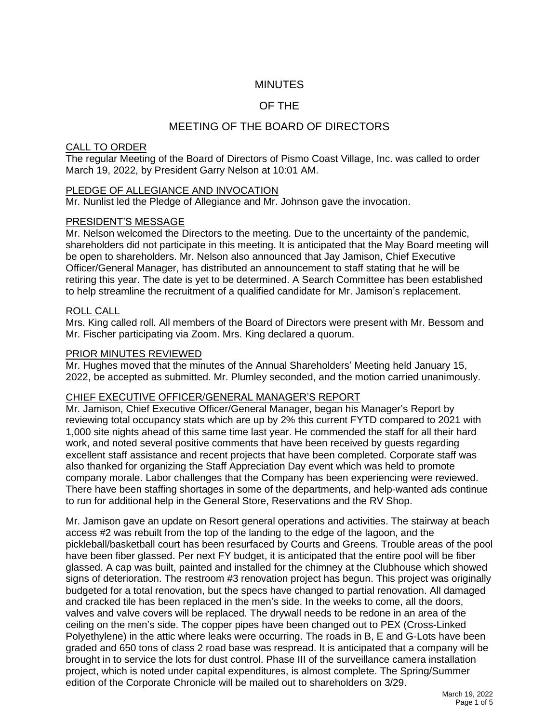# **MINUTES**

# OF THE

# MEETING OF THE BOARD OF DIRECTORS

## CALL TO ORDER

The regular Meeting of the Board of Directors of Pismo Coast Village, Inc. was called to order March 19, 2022, by President Garry Nelson at 10:01 AM.

### PLEDGE OF ALLEGIANCE AND INVOCATION

Mr. Nunlist led the Pledge of Allegiance and Mr. Johnson gave the invocation.

### PRESIDENT'S MESSAGE

Mr. Nelson welcomed the Directors to the meeting. Due to the uncertainty of the pandemic, shareholders did not participate in this meeting. It is anticipated that the May Board meeting will be open to shareholders. Mr. Nelson also announced that Jay Jamison, Chief Executive Officer/General Manager, has distributed an announcement to staff stating that he will be retiring this year. The date is yet to be determined. A Search Committee has been established to help streamline the recruitment of a qualified candidate for Mr. Jamison's replacement.

## ROLL CALL

Mrs. King called roll. All members of the Board of Directors were present with Mr. Bessom and Mr. Fischer participating via Zoom. Mrs. King declared a quorum.

### PRIOR MINUTES REVIEWED

Mr. Hughes moved that the minutes of the Annual Shareholders' Meeting held January 15, 2022, be accepted as submitted. Mr. Plumley seconded, and the motion carried unanimously.

#### CHIEF EXECUTIVE OFFICER/GENERAL MANAGER'S REPORT

Mr. Jamison, Chief Executive Officer/General Manager, began his Manager's Report by reviewing total occupancy stats which are up by 2% this current FYTD compared to 2021 with 1,000 site nights ahead of this same time last year. He commended the staff for all their hard work, and noted several positive comments that have been received by guests regarding excellent staff assistance and recent projects that have been completed. Corporate staff was also thanked for organizing the Staff Appreciation Day event which was held to promote company morale. Labor challenges that the Company has been experiencing were reviewed. There have been staffing shortages in some of the departments, and help-wanted ads continue to run for additional help in the General Store, Reservations and the RV Shop.

Mr. Jamison gave an update on Resort general operations and activities. The stairway at beach access #2 was rebuilt from the top of the landing to the edge of the lagoon, and the pickleball/basketball court has been resurfaced by Courts and Greens. Trouble areas of the pool have been fiber glassed. Per next FY budget, it is anticipated that the entire pool will be fiber glassed. A cap was built, painted and installed for the chimney at the Clubhouse which showed signs of deterioration. The restroom #3 renovation project has begun. This project was originally budgeted for a total renovation, but the specs have changed to partial renovation. All damaged and cracked tile has been replaced in the men's side. In the weeks to come, all the doors, valves and valve covers will be replaced. The drywall needs to be redone in an area of the ceiling on the men's side. The copper pipes have been changed out to PEX (Cross-Linked Polyethylene) in the attic where leaks were occurring. The roads in B, E and G-Lots have been graded and 650 tons of class 2 road base was respread. It is anticipated that a company will be brought in to service the lots for dust control. Phase III of the surveillance camera installation project, which is noted under capital expenditures, is almost complete. The Spring/Summer edition of the Corporate Chronicle will be mailed out to shareholders on 3/29.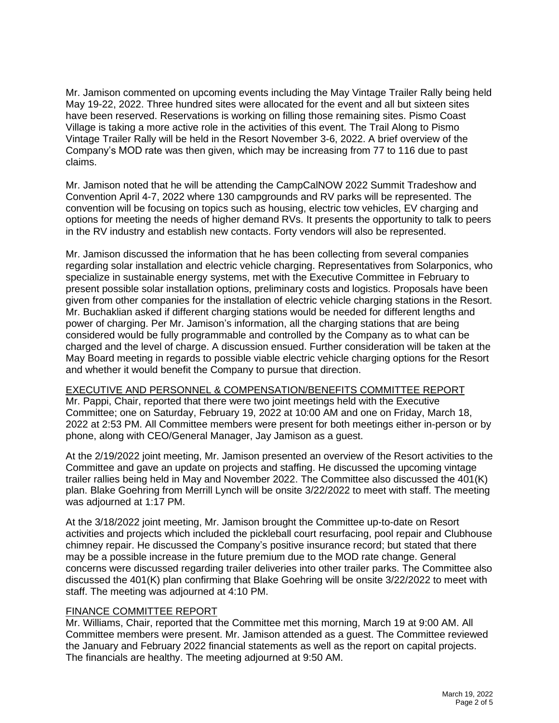Mr. Jamison commented on upcoming events including the May Vintage Trailer Rally being held May 19-22, 2022. Three hundred sites were allocated for the event and all but sixteen sites have been reserved. Reservations is working on filling those remaining sites. Pismo Coast Village is taking a more active role in the activities of this event. The Trail Along to Pismo Vintage Trailer Rally will be held in the Resort November 3-6, 2022. A brief overview of the Company's MOD rate was then given, which may be increasing from 77 to 116 due to past claims.

Mr. Jamison noted that he will be attending the CampCalNOW 2022 Summit Tradeshow and Convention April 4-7, 2022 where 130 campgrounds and RV parks will be represented. The convention will be focusing on topics such as housing, electric tow vehicles, EV charging and options for meeting the needs of higher demand RVs. It presents the opportunity to talk to peers in the RV industry and establish new contacts. Forty vendors will also be represented.

Mr. Jamison discussed the information that he has been collecting from several companies regarding solar installation and electric vehicle charging. Representatives from Solarponics, who specialize in sustainable energy systems, met with the Executive Committee in February to present possible solar installation options, preliminary costs and logistics. Proposals have been given from other companies for the installation of electric vehicle charging stations in the Resort. Mr. Buchaklian asked if different charging stations would be needed for different lengths and power of charging. Per Mr. Jamison's information, all the charging stations that are being considered would be fully programmable and controlled by the Company as to what can be charged and the level of charge. A discussion ensued. Further consideration will be taken at the May Board meeting in regards to possible viable electric vehicle charging options for the Resort and whether it would benefit the Company to pursue that direction.

#### EXECUTIVE AND PERSONNEL & COMPENSATION/BENEFITS COMMITTEE REPORT

Mr. Pappi, Chair, reported that there were two joint meetings held with the Executive Committee; one on Saturday, February 19, 2022 at 10:00 AM and one on Friday, March 18, 2022 at 2:53 PM. All Committee members were present for both meetings either in-person or by phone, along with CEO/General Manager, Jay Jamison as a guest.

At the 2/19/2022 joint meeting, Mr. Jamison presented an overview of the Resort activities to the Committee and gave an update on projects and staffing. He discussed the upcoming vintage trailer rallies being held in May and November 2022. The Committee also discussed the 401(K) plan. Blake Goehring from Merrill Lynch will be onsite 3/22/2022 to meet with staff. The meeting was adjourned at 1:17 PM.

At the 3/18/2022 joint meeting, Mr. Jamison brought the Committee up-to-date on Resort activities and projects which included the pickleball court resurfacing, pool repair and Clubhouse chimney repair. He discussed the Company's positive insurance record; but stated that there may be a possible increase in the future premium due to the MOD rate change. General concerns were discussed regarding trailer deliveries into other trailer parks. The Committee also discussed the 401(K) plan confirming that Blake Goehring will be onsite 3/22/2022 to meet with staff. The meeting was adjourned at 4:10 PM.

#### FINANCE COMMITTEE REPORT

Mr. Williams, Chair, reported that the Committee met this morning, March 19 at 9:00 AM. All Committee members were present. Mr. Jamison attended as a guest. The Committee reviewed the January and February 2022 financial statements as well as the report on capital projects. The financials are healthy. The meeting adjourned at 9:50 AM.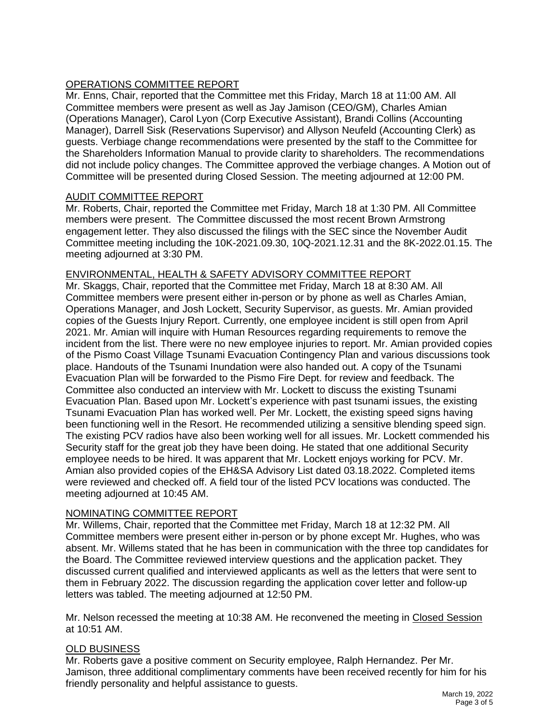# OPERATIONS COMMITTEE REPORT

Mr. Enns, Chair, reported that the Committee met this Friday, March 18 at 11:00 AM. All Committee members were present as well as Jay Jamison (CEO/GM), Charles Amian (Operations Manager), Carol Lyon (Corp Executive Assistant), Brandi Collins (Accounting Manager), Darrell Sisk (Reservations Supervisor) and Allyson Neufeld (Accounting Clerk) as guests. Verbiage change recommendations were presented by the staff to the Committee for the Shareholders Information Manual to provide clarity to shareholders. The recommendations did not include policy changes. The Committee approved the verbiage changes. A Motion out of Committee will be presented during Closed Session. The meeting adjourned at 12:00 PM.

### AUDIT COMMITTEE REPORT

Mr. Roberts, Chair, reported the Committee met Friday, March 18 at 1:30 PM. All Committee members were present. The Committee discussed the most recent Brown Armstrong engagement letter. They also discussed the filings with the SEC since the November Audit Committee meeting including the 10K-2021.09.30, 10Q-2021.12.31 and the 8K-2022.01.15. The meeting adjourned at 3:30 PM.

## ENVIRONMENTAL, HEALTH & SAFETY ADVISORY COMMITTEE REPORT

Mr. Skaggs, Chair, reported that the Committee met Friday, March 18 at 8:30 AM. All Committee members were present either in-person or by phone as well as Charles Amian, Operations Manager, and Josh Lockett, Security Supervisor, as guests. Mr. Amian provided copies of the Guests Injury Report. Currently, one employee incident is still open from April 2021. Mr. Amian will inquire with Human Resources regarding requirements to remove the incident from the list. There were no new employee injuries to report. Mr. Amian provided copies of the Pismo Coast Village Tsunami Evacuation Contingency Plan and various discussions took place. Handouts of the Tsunami Inundation were also handed out. A copy of the Tsunami Evacuation Plan will be forwarded to the Pismo Fire Dept. for review and feedback. The Committee also conducted an interview with Mr. Lockett to discuss the existing Tsunami Evacuation Plan. Based upon Mr. Lockett's experience with past tsunami issues, the existing Tsunami Evacuation Plan has worked well. Per Mr. Lockett, the existing speed signs having been functioning well in the Resort. He recommended utilizing a sensitive blending speed sign. The existing PCV radios have also been working well for all issues. Mr. Lockett commended his Security staff for the great job they have been doing. He stated that one additional Security employee needs to be hired. It was apparent that Mr. Lockett enjoys working for PCV. Mr. Amian also provided copies of the EH&SA Advisory List dated 03.18.2022. Completed items were reviewed and checked off. A field tour of the listed PCV locations was conducted. The meeting adjourned at 10:45 AM.

## NOMINATING COMMITTEE REPORT

Mr. Willems, Chair, reported that the Committee met Friday, March 18 at 12:32 PM. All Committee members were present either in-person or by phone except Mr. Hughes, who was absent. Mr. Willems stated that he has been in communication with the three top candidates for the Board. The Committee reviewed interview questions and the application packet. They discussed current qualified and interviewed applicants as well as the letters that were sent to them in February 2022. The discussion regarding the application cover letter and follow-up letters was tabled. The meeting adjourned at 12:50 PM.

Mr. Nelson recessed the meeting at 10:38 AM. He reconvened the meeting in Closed Session at 10:51 AM.

## OLD BUSINESS

Mr. Roberts gave a positive comment on Security employee, Ralph Hernandez. Per Mr. Jamison, three additional complimentary comments have been received recently for him for his friendly personality and helpful assistance to guests.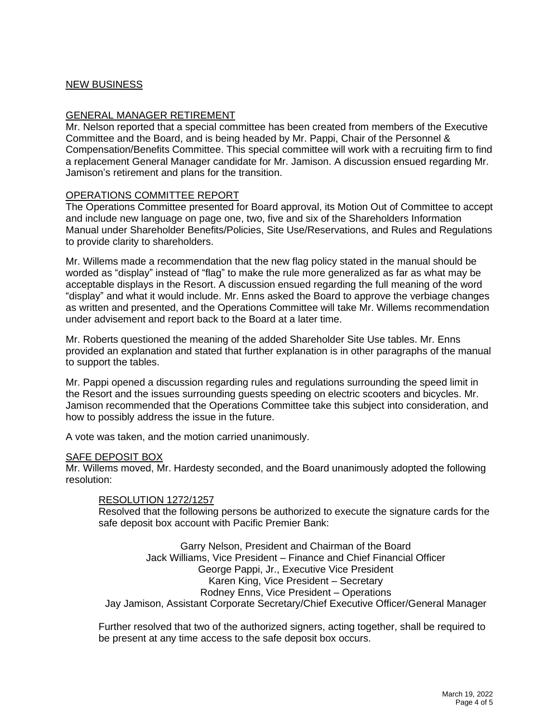## NEW BUSINESS

#### GENERAL MANAGER RETIREMENT

Mr. Nelson reported that a special committee has been created from members of the Executive Committee and the Board, and is being headed by Mr. Pappi, Chair of the Personnel & Compensation/Benefits Committee. This special committee will work with a recruiting firm to find a replacement General Manager candidate for Mr. Jamison. A discussion ensued regarding Mr. Jamison's retirement and plans for the transition.

### OPERATIONS COMMITTEE REPORT

The Operations Committee presented for Board approval, its Motion Out of Committee to accept and include new language on page one, two, five and six of the Shareholders Information Manual under Shareholder Benefits/Policies, Site Use/Reservations, and Rules and Regulations to provide clarity to shareholders.

Mr. Willems made a recommendation that the new flag policy stated in the manual should be worded as "display" instead of "flag" to make the rule more generalized as far as what may be acceptable displays in the Resort. A discussion ensued regarding the full meaning of the word "display" and what it would include. Mr. Enns asked the Board to approve the verbiage changes as written and presented, and the Operations Committee will take Mr. Willems recommendation under advisement and report back to the Board at a later time.

Mr. Roberts questioned the meaning of the added Shareholder Site Use tables. Mr. Enns provided an explanation and stated that further explanation is in other paragraphs of the manual to support the tables.

Mr. Pappi opened a discussion regarding rules and regulations surrounding the speed limit in the Resort and the issues surrounding guests speeding on electric scooters and bicycles. Mr. Jamison recommended that the Operations Committee take this subject into consideration, and how to possibly address the issue in the future.

A vote was taken, and the motion carried unanimously.

# **SAFE DEPOSIT BOX**

Mr. Willems moved, Mr. Hardesty seconded, and the Board unanimously adopted the following resolution:

## RESOLUTION 1272/1257

Resolved that the following persons be authorized to execute the signature cards for the safe deposit box account with Pacific Premier Bank:

Garry Nelson, President and Chairman of the Board Jack Williams, Vice President – Finance and Chief Financial Officer George Pappi, Jr., Executive Vice President Karen King, Vice President – Secretary Rodney Enns, Vice President – Operations Jay Jamison, Assistant Corporate Secretary/Chief Executive Officer/General Manager

Further resolved that two of the authorized signers, acting together, shall be required to be present at any time access to the safe deposit box occurs.